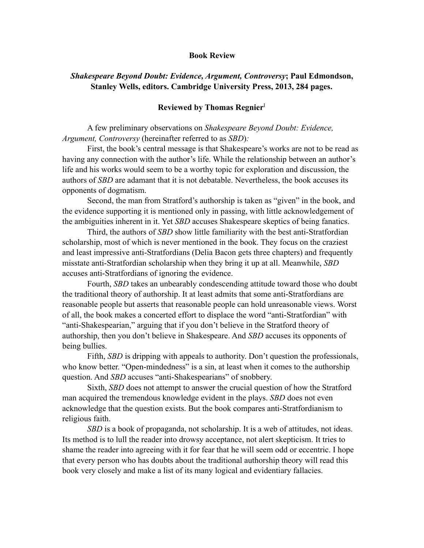## <span id="page-0-0"></span>**Book Review**

# *Shakespeare Beyond Doubt: Evidence, Argument, Controversy***; Paul Edmondson, Stanley Wells, editors. Cambridge University Press, 2013, 284 pages.**

## **Reviewed by Thomas Regnier**[1](#page-7-0)

A few preliminary observations on *Shakespeare Beyond Doubt: Evidence, Argument, Controversy* (hereinafter referred to as *SBD*)*:* 

First, the book's central message is that Shakespeare's works are not to be read as having any connection with the author's life. While the relationship between an author's life and his works would seem to be a worthy topic for exploration and discussion, the authors of *SBD* are adamant that it is not debatable. Nevertheless, the book accuses its opponents of dogmatism.

Second, the man from Stratford's authorship is taken as "given" in the book, and the evidence supporting it is mentioned only in passing, with little acknowledgement of the ambiguities inherent in it. Yet *SBD* accuses Shakespeare skeptics of being fanatics.

Third, the authors of *SBD* show little familiarity with the best anti-Stratfordian scholarship, most of which is never mentioned in the book. They focus on the craziest and least impressive anti-Stratfordians (Delia Bacon gets three chapters) and frequently misstate anti-Stratfordian scholarship when they bring it up at all. Meanwhile, *SBD* accuses anti-Stratfordians of ignoring the evidence.

Fourth, *SBD* takes an unbearably condescending attitude toward those who doubt the traditional theory of authorship. It at least admits that some anti-Stratfordians are reasonable people but asserts that reasonable people can hold unreasonable views. Worst of all, the book makes a concerted effort to displace the word "anti-Stratfordian" with "anti-Shakespearian," arguing that if you don't believe in the Stratford theory of authorship, then you don't believe in Shakespeare. And *SBD* accuses its opponents of being bullies.

Fifth, *SBD* is dripping with appeals to authority. Don't question the professionals, who know better. "Open-mindedness" is a sin, at least when it comes to the authorship question. And *SBD* accuses "anti-Shakespearians" of snobbery.

Sixth, *SBD* does not attempt to answer the crucial question of how the Stratford man acquired the tremendous knowledge evident in the plays. *SBD* does not even acknowledge that the question exists. But the book compares anti-Stratfordianism to religious faith.

*SBD* is a book of propaganda, not scholarship. It is a web of attitudes, not ideas. Its method is to lull the reader into drowsy acceptance, not alert skepticism. It tries to shame the reader into agreeing with it for fear that he will seem odd or eccentric. I hope that every person who has doubts about the traditional authorship theory will read this book very closely and make a list of its many logical and evidentiary fallacies.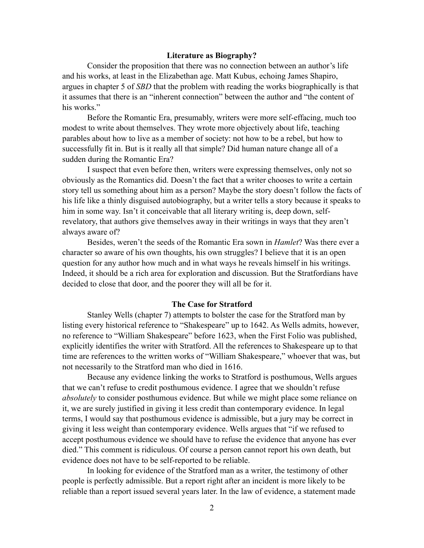# **Literature as Biography?**

Consider the proposition that there was no connection between an author's life and his works, at least in the Elizabethan age. Matt Kubus, echoing James Shapiro, argues in chapter 5 of *SBD* that the problem with reading the works biographically is that it assumes that there is an "inherent connection" between the author and "the content of his works."

Before the Romantic Era, presumably, writers were more self-effacing, much too modest to write about themselves. They wrote more objectively about life, teaching parables about how to live as a member of society: not how to be a rebel, but how to successfully fit in. But is it really all that simple? Did human nature change all of a sudden during the Romantic Era?

I suspect that even before then, writers were expressing themselves, only not so obviously as the Romantics did. Doesn't the fact that a writer chooses to write a certain story tell us something about him as a person? Maybe the story doesn't follow the facts of his life like a thinly disguised autobiography, but a writer tells a story because it speaks to him in some way. Isn't it conceivable that all literary writing is, deep down, selfrevelatory, that authors give themselves away in their writings in ways that they aren't always aware of?

Besides, weren't the seeds of the Romantic Era sown in *Hamlet*? Was there ever a character so aware of his own thoughts, his own struggles? I believe that it is an open question for any author how much and in what ways he reveals himself in his writings. Indeed, it should be a rich area for exploration and discussion. But the Stratfordians have decided to close that door, and the poorer they will all be for it.

## **The Case for Stratford**

Stanley Wells (chapter 7) attempts to bolster the case for the Stratford man by listing every historical reference to "Shakespeare" up to 1642. As Wells admits, however, no reference to "William Shakespeare" before 1623, when the First Folio was published, explicitly identifies the writer with Stratford. All the references to Shakespeare up to that time are references to the written works of "William Shakespeare," whoever that was, but not necessarily to the Stratford man who died in 1616.

Because any evidence linking the works to Stratford is posthumous, Wells argues that we can't refuse to credit posthumous evidence. I agree that we shouldn't refuse *absolutely* to consider posthumous evidence. But while we might place some reliance on it, we are surely justified in giving it less credit than contemporary evidence. In legal terms, I would say that posthumous evidence is admissible, but a jury may be correct in giving it less weight than contemporary evidence. Wells argues that "if we refused to accept posthumous evidence we should have to refuse the evidence that anyone has ever died." This comment is ridiculous. Of course a person cannot report his own death, but evidence does not have to be self-reported to be reliable.

In looking for evidence of the Stratford man as a writer, the testimony of other people is perfectly admissible. But a report right after an incident is more likely to be reliable than a report issued several years later. In the law of evidence, a statement made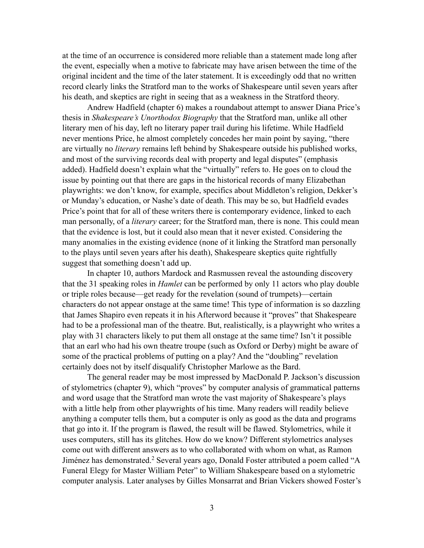at the time of an occurrence is considered more reliable than a statement made long after the event, especially when a motive to fabricate may have arisen between the time of the original incident and the time of the later statement. It is exceedingly odd that no written record clearly links the Stratford man to the works of Shakespeare until seven years after his death, and skeptics are right in seeing that as a weakness in the Stratford theory.

Andrew Hadfield (chapter 6) makes a roundabout attempt to answer Diana Price's thesis in *Shakespeare's Unorthodox Biography* that the Stratford man, unlike all other literary men of his day, left no literary paper trail during his lifetime. While Hadfield never mentions Price, he almost completely concedes her main point by saying, "there are virtually no *literary* remains left behind by Shakespeare outside his published works, and most of the surviving records deal with property and legal disputes" (emphasis added). Hadfield doesn't explain what the "virtually" refers to. He goes on to cloud the issue by pointing out that there are gaps in the historical records of many Elizabethan playwrights: we don't know, for example, specifics about Middleton's religion, Dekker's or Munday's education, or Nashe's date of death. This may be so, but Hadfield evades Price's point that for all of these writers there is contemporary evidence, linked to each man personally, of a *literary* career; for the Stratford man, there is none. This could mean that the evidence is lost, but it could also mean that it never existed. Considering the many anomalies in the existing evidence (none of it linking the Stratford man personally to the plays until seven years after his death), Shakespeare skeptics quite rightfully suggest that something doesn't add up.

In chapter 10, authors Mardock and Rasmussen reveal the astounding discovery that the 31 speaking roles in *Hamlet* can be performed by only 11 actors who play double or triple roles because—get ready for the revelation (sound of trumpets)—certain characters do not appear onstage at the same time! This type of information is so dazzling that James Shapiro even repeats it in his Afterword because it "proves" that Shakespeare had to be a professional man of the theatre. But, realistically, is a playwright who writes a play with 31 characters likely to put them all onstage at the same time? Isn't it possible that an earl who had his own theatre troupe (such as Oxford or Derby) might be aware of some of the practical problems of putting on a play? And the "doubling" revelation certainly does not by itself disqualify Christopher Marlowe as the Bard.

<span id="page-2-0"></span>The general reader may be most impressed by MacDonald P. Jackson's discussion of stylometrics (chapter 9), which "proves" by computer analysis of grammatical patterns and word usage that the Stratford man wrote the vast majority of Shakespeare's plays with a little help from other playwrights of his time. Many readers will readily believe anything a computer tells them, but a computer is only as good as the data and programs that go into it. If the program is flawed, the result will be flawed. Stylometrics, while it uses computers, still has its glitches. How do we know? Different stylometrics analyses come out with different answers as to who collaborated with whom on what, as Ramon Jiménezhas demonstrated.<sup>[2](#page-7-1)</sup> Several years ago, Donald Foster attributed a poem called "A Funeral Elegy for Master William Peter" to William Shakespeare based on a stylometric computer analysis. Later analyses by Gilles Monsarrat and Brian Vickers showed Foster's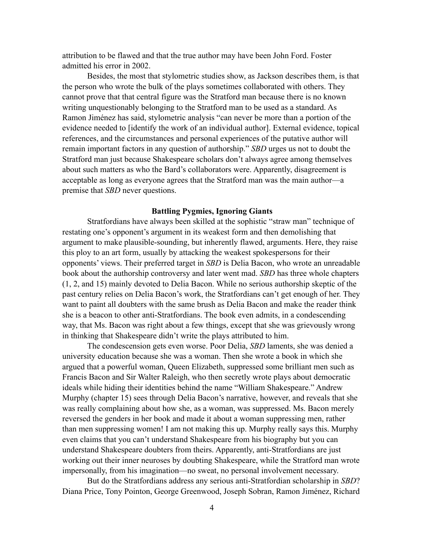attribution to be flawed and that the true author may have been John Ford. Foster admitted his error in 2002.

Besides, the most that stylometric studies show, as Jackson describes them, is that the person who wrote the bulk of the plays sometimes collaborated with others. They cannot prove that that central figure was the Stratford man because there is no known writing unquestionably belonging to the Stratford man to be used as a standard. As Ramon Jiménez has said, stylometric analysis "can never be more than a portion of the evidence needed to [identify the work of an individual author]. External evidence, topical references, and the circumstances and personal experiences of the putative author will remain important factors in any question of authorship." *SBD* urges us not to doubt the Stratford man just because Shakespeare scholars don't always agree among themselves about such matters as who the Bard's collaborators were. Apparently, disagreement is acceptable as long as everyone agrees that the Stratford man was the main author—a premise that *SBD* never questions.

#### **Battling Pygmies, Ignoring Giants**

Stratfordians have always been skilled at the sophistic "straw man" technique of restating one's opponent's argument in its weakest form and then demolishing that argument to make plausible-sounding, but inherently flawed, arguments. Here, they raise this ploy to an art form, usually by attacking the weakest spokespersons for their opponents' views. Their preferred target in *SBD* is Delia Bacon, who wrote an unreadable book about the authorship controversy and later went mad. *SBD* has three whole chapters (1, 2, and 15) mainly devoted to Delia Bacon. While no serious authorship skeptic of the past century relies on Delia Bacon's work, the Stratfordians can't get enough of her. They want to paint all doubters with the same brush as Delia Bacon and make the reader think she is a beacon to other anti-Stratfordians. The book even admits, in a condescending way, that Ms. Bacon was right about a few things, except that she was grievously wrong in thinking that Shakespeare didn't write the plays attributed to him.

The condescension gets even worse. Poor Delia, *SBD* laments, she was denied a university education because she was a woman. Then she wrote a book in which she argued that a powerful woman, Queen Elizabeth, suppressed some brilliant men such as Francis Bacon and Sir Walter Raleigh, who then secretly wrote plays about democratic ideals while hiding their identities behind the name "William Shakespeare." Andrew Murphy (chapter 15) sees through Delia Bacon's narrative, however, and reveals that she was really complaining about how she, as a woman, was suppressed. Ms. Bacon merely reversed the genders in her book and made it about a woman suppressing men, rather than men suppressing women! I am not making this up. Murphy really says this. Murphy even claims that you can't understand Shakespeare from his biography but you can understand Shakespeare doubters from theirs. Apparently, anti-Stratfordians are just working out their inner neuroses by doubting Shakespeare, while the Stratford man wrote impersonally, from his imagination—no sweat, no personal involvement necessary.

But do the Stratfordians address any serious anti-Stratfordian scholarship in *SBD*? Diana Price, Tony Pointon, George Greenwood, Joseph Sobran, Ramon Jiménez, Richard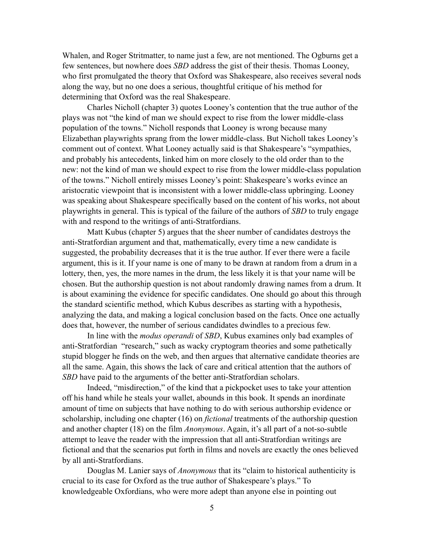Whalen, and Roger Stritmatter, to name just a few, are not mentioned. The Ogburns get a few sentences, but nowhere does *SBD* address the gist of their thesis. Thomas Looney, who first promulgated the theory that Oxford was Shakespeare, also receives several nods along the way, but no one does a serious, thoughtful critique of his method for determining that Oxford was the real Shakespeare.

Charles Nicholl (chapter 3) quotes Looney's contention that the true author of the plays was not "the kind of man we should expect to rise from the lower middle-class population of the towns." Nicholl responds that Looney is wrong because many Elizabethan playwrights sprang from the lower middle-class. But Nicholl takes Looney's comment out of context. What Looney actually said is that Shakespeare's "sympathies, and probably his antecedents, linked him on more closely to the old order than to the new: not the kind of man we should expect to rise from the lower middle-class population of the towns." Nicholl entirely misses Looney's point: Shakespeare's works evince an aristocratic viewpoint that is inconsistent with a lower middle-class upbringing. Looney was speaking about Shakespeare specifically based on the content of his works, not about playwrights in general. This is typical of the failure of the authors of *SBD* to truly engage with and respond to the writings of anti-Stratfordians.

Matt Kubus (chapter 5) argues that the sheer number of candidates destroys the anti-Stratfordian argument and that, mathematically, every time a new candidate is suggested, the probability decreases that it is the true author. If ever there were a facile argument, this is it. If your name is one of many to be drawn at random from a drum in a lottery, then, yes, the more names in the drum, the less likely it is that your name will be chosen. But the authorship question is not about randomly drawing names from a drum. It is about examining the evidence for specific candidates. One should go about this through the standard scientific method, which Kubus describes as starting with a hypothesis, analyzing the data, and making a logical conclusion based on the facts. Once one actually does that, however, the number of serious candidates dwindles to a precious few.

In line with the *modus operandi* of *SBD*, Kubus examines only bad examples of anti-Stratfordian "research," such as wacky cryptogram theories and some pathetically stupid blogger he finds on the web, and then argues that alternative candidate theories are all the same. Again, this shows the lack of care and critical attention that the authors of *SBD* have paid to the arguments of the better anti-Stratfordian scholars.

Indeed, "misdirection," of the kind that a pickpocket uses to take your attention off his hand while he steals your wallet, abounds in this book. It spends an inordinate amount of time on subjects that have nothing to do with serious authorship evidence or scholarship, including one chapter (16) on *fictional* treatments of the authorship question and another chapter (18) on the film *Anonymous*. Again, it's all part of a not-so-subtle attempt to leave the reader with the impression that all anti-Stratfordian writings are fictional and that the scenarios put forth in films and novels are exactly the ones believed by all anti-Stratfordians.

Douglas M. Lanier says of *Anonymous* that its "claim to historical authenticity is crucial to its case for Oxford as the true author of Shakespeare's plays." To knowledgeable Oxfordians, who were more adept than anyone else in pointing out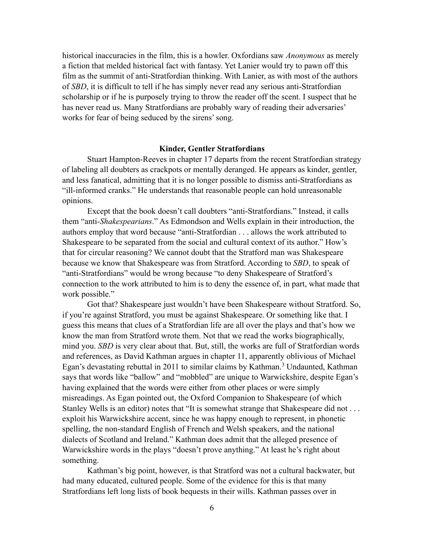historical inaccuracies in the film, this is a howler. Oxfordians saw *Anonymous* as merely a fiction that melded historical fact with fantasy. Yet Lanier would try to pawn off this film as the summit of anti-Stratfordian thinking. With Lanier, as with most of the authors of *SBD*, it is difficult to tell if he has simply never read any serious anti-Stratfordian scholarship or if he is purposely trying to throw the reader off the scent. I suspect that he has never read us. Many Stratfordians are probably wary of reading their adversaries' works for fear of being seduced by the sirens' song.

## **Kinder, Gentler Stratfordians**

Stuart Hampton-Reeves in chapter 17 departs from the recent Stratfordian strategy of labeling all doubters as crackpots or mentally deranged. He appears as kinder, gentler, and less fanatical, admitting that it is no longer possible to dismiss anti-Stratfordians as "ill-informed cranks." He understands that reasonable people can hold unreasonable opinions.

Except that the book doesn't call doubters "anti-Stratfordians." Instead, it calls them "anti-*Shakespearians*." As Edmondson and Wells explain in their introduction, the authors employ that word because "anti-Stratfordian . . . allows the work attributed to Shakespeare to be separated from the social and cultural context of its author." How's that for circular reasoning? We cannot doubt that the Stratford man was Shakespeare because we know that Shakespeare was from Stratford. According to *SBD*, to speak of "anti-Stratfordians" would be wrong because "to deny Shakespeare of Stratford's connection to the work attributed to him is to deny the essence of, in part, what made that work possible."

<span id="page-5-0"></span>Got that? Shakespeare just wouldn't have been Shakespeare without Stratford. So, if you're against Stratford, you must be against Shakespeare. Or something like that. I guess this means that clues of a Stratfordian life are all over the plays and that's how we know the man from Stratford wrote them. Not that we read the works biographically, mind you. *SBD* is very clear about that. But, still, the works are full of Stratfordian words and references, as David Kathman argues in chapter 11, apparently oblivious of Michael Egan'sdevastating rebuttal in 2011 to similar claims by Kathman.<sup>[3](#page-7-2)</sup> Undaunted, Kathman says that words like "ballow" and "mobbled" are unique to Warwickshire, despite Egan's having explained that the words were either from other places or were simply misreadings. As Egan pointed out, the Oxford Companion to Shakespeare (of which Stanley Wells is an editor) notes that "It is somewhat strange that Shakespeare did not . . . exploit his Warwickshire accent, since he was happy enough to represent, in phonetic spelling, the non-standard English of French and Welsh speakers, and the national dialects of Scotland and Ireland." Kathman does admit that the alleged presence of Warwickshire words in the plays "doesn't prove anything." At least he's right about something.

Kathman's big point, however, is that Stratford was not a cultural backwater, but had many educated, cultured people. Some of the evidence for this is that many Stratfordians left long lists of book bequests in their wills. Kathman passes over in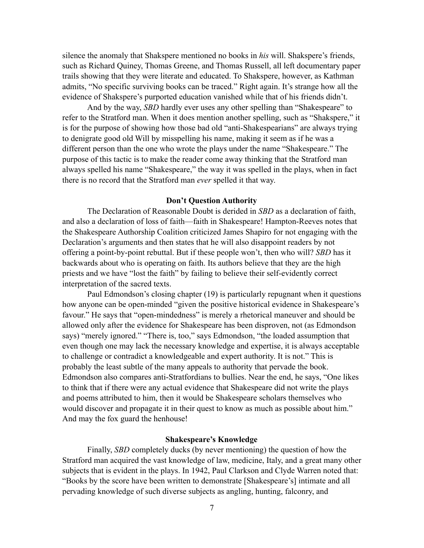silence the anomaly that Shakspere mentioned no books in *his* will. Shakspere's friends, such as Richard Quiney, Thomas Greene, and Thomas Russell, all left documentary paper trails showing that they were literate and educated. To Shakspere, however, as Kathman admits, "No specific surviving books can be traced." Right again. It's strange how all the evidence of Shakspere's purported education vanished while that of his friends didn't.

And by the way, *SBD* hardly ever uses any other spelling than "Shakespeare" to refer to the Stratford man. When it does mention another spelling, such as "Shakspere," it is for the purpose of showing how those bad old "anti-Shakespearians" are always trying to denigrate good old Will by misspelling his name, making it seem as if he was a different person than the one who wrote the plays under the name "Shakespeare." The purpose of this tactic is to make the reader come away thinking that the Stratford man always spelled his name "Shakespeare," the way it was spelled in the plays, when in fact there is no record that the Stratford man *ever* spelled it that way.

#### **Don't Question Authority**

The Declaration of Reasonable Doubt is derided in *SBD* as a declaration of faith, and also a declaration of loss of faith—faith in Shakespeare! Hampton-Reeves notes that the Shakespeare Authorship Coalition criticized James Shapiro for not engaging with the Declaration's arguments and then states that he will also disappoint readers by not offering a point-by-point rebuttal. But if these people won't, then who will? *SBD* has it backwards about who is operating on faith. Its authors believe that they are the high priests and we have "lost the faith" by failing to believe their self-evidently correct interpretation of the sacred texts.

Paul Edmondson's closing chapter (19) is particularly repugnant when it questions how anyone can be open-minded "given the positive historical evidence in Shakespeare's favour." He says that "open-mindedness" is merely a rhetorical maneuver and should be allowed only after the evidence for Shakespeare has been disproven, not (as Edmondson says) "merely ignored." "There is, too," says Edmondson, "the loaded assumption that even though one may lack the necessary knowledge and expertise, it is always acceptable to challenge or contradict a knowledgeable and expert authority. It is not." This is probably the least subtle of the many appeals to authority that pervade the book. Edmondson also compares anti-Stratfordians to bullies. Near the end, he says, "One likes to think that if there were any actual evidence that Shakespeare did not write the plays and poems attributed to him, then it would be Shakespeare scholars themselves who would discover and propagate it in their quest to know as much as possible about him." And may the fox guard the henhouse!

# **Shakespeare's Knowledge**

Finally, *SBD* completely ducks (by never mentioning) the question of how the Stratford man acquired the vast knowledge of law, medicine, Italy, and a great many other subjects that is evident in the plays. In 1942, Paul Clarkson and Clyde Warren noted that: "Books by the score have been written to demonstrate [Shakespeare's] intimate and all pervading knowledge of such diverse subjects as angling, hunting, falconry, and